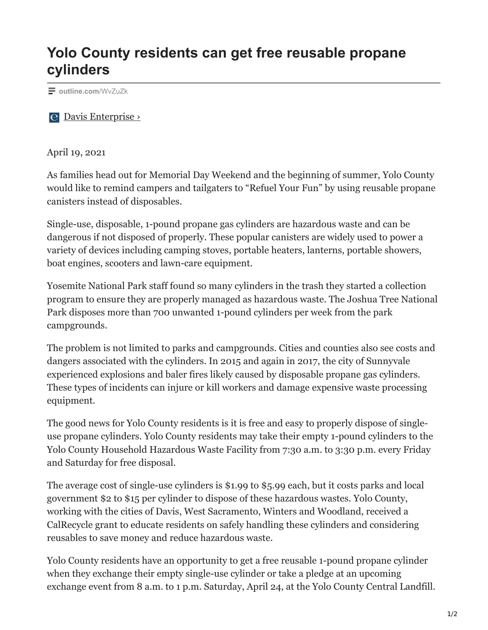## **Yolo County residents can get free reusable propane cylinders**

**[outline.com](https://outline.com/WvZuZk)**/WvZuZk

[Davis Enterprise ›](https://www.davisenterprise.com/news/yolo-county-residents-can-get-free-reusable-propane-cylinders/)

April 19, 2021

As families head out for Memorial Day Weekend and the beginning of summer, Yolo County would like to remind campers and tailgaters to "Refuel Your Fun" by using reusable propane canisters instead of disposables.

Single-use, disposable, 1-pound propane gas cylinders are hazardous waste and can be dangerous if not disposed of properly. These popular canisters are widely used to power a variety of devices including camping stoves, portable heaters, lanterns, portable showers, boat engines, scooters and lawn-care equipment.

Yosemite National Park staff found so many cylinders in the trash they started a collection program to ensure they are properly managed as hazardous waste. The Joshua Tree National Park disposes more than 700 unwanted 1-pound cylinders per week from the park campgrounds.

The problem is not limited to parks and campgrounds. Cities and counties also see costs and dangers associated with the cylinders. In 2015 and again in 2017, the city of Sunnyvale experienced explosions and baler fires likely caused by disposable propane gas cylinders. These types of incidents can injure or kill workers and damage expensive waste processing equipment.

The good news for Yolo County residents is it is free and easy to properly dispose of singleuse propane cylinders. Yolo County residents may take their empty 1-pound cylinders to the Yolo County Household Hazardous Waste Facility from 7:30 a.m. to 3:30 p.m. every Friday and Saturday for free disposal.

The average cost of single-use cylinders is \$1.99 to \$5.99 each, but it costs parks and local government \$2 to \$15 per cylinder to dispose of these hazardous wastes. Yolo County, working with the cities of Davis, West Sacramento, Winters and Woodland, received a CalRecycle grant to educate residents on safely handling these cylinders and considering reusables to save money and reduce hazardous waste.

Yolo County residents have an opportunity to get a free reusable 1-pound propane cylinder when they exchange their empty single-use cylinder or take a pledge at an upcoming exchange event from 8 a.m. to 1 p.m. Saturday, April 24, at the Yolo County Central Landfill.